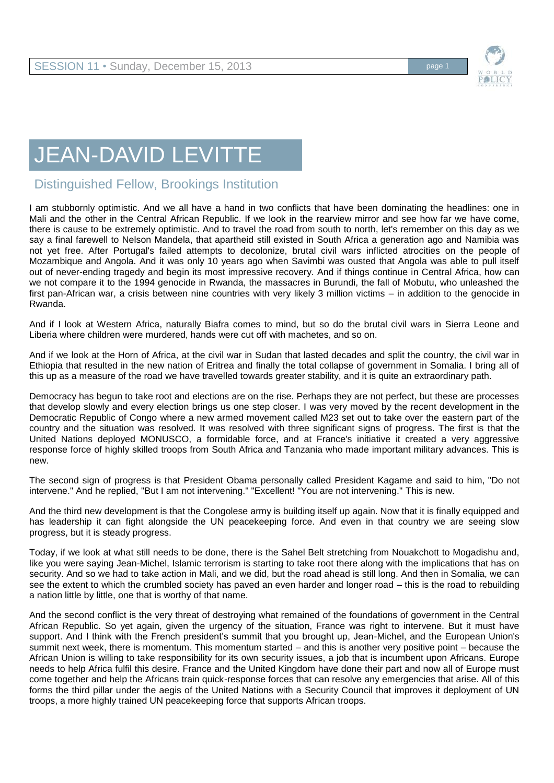## JEAN-DAVID LEVITTE

## Distinguished Fellow, Brookings Institution

I am stubbornly optimistic. And we all have a hand in two conflicts that have been dominating the headlines: one in Mali and the other in the Central African Republic. If we look in the rearview mirror and see how far we have come, there is cause to be extremely optimistic. And to travel the road from south to north, let's remember on this day as we say a final farewell to Nelson Mandela, that apartheid still existed in South Africa a generation ago and Namibia was not yet free. After Portugal's failed attempts to decolonize, brutal civil wars inflicted atrocities on the people of Mozambique and Angola. And it was only 10 years ago when Savimbi was ousted that Angola was able to pull itself out of never-ending tragedy and begin its most impressive recovery. And if things continue in Central Africa, how can we not compare it to the 1994 genocide in Rwanda, the massacres in Burundi, the fall of Mobutu, who unleashed the first pan-African war, a crisis between nine countries with very likely 3 million victims – in addition to the genocide in Rwanda.

And if I look at Western Africa, naturally Biafra comes to mind, but so do the brutal civil wars in Sierra Leone and Liberia where children were murdered, hands were cut off with machetes, and so on.

And if we look at the Horn of Africa, at the civil war in Sudan that lasted decades and split the country, the civil war in Ethiopia that resulted in the new nation of Eritrea and finally the total collapse of government in Somalia. I bring all of this up as a measure of the road we have travelled towards greater stability, and it is quite an extraordinary path.

Democracy has begun to take root and elections are on the rise. Perhaps they are not perfect, but these are processes that develop slowly and every election brings us one step closer. I was very moved by the recent development in the Democratic Republic of Congo where a new armed movement called M23 set out to take over the eastern part of the country and the situation was resolved. It was resolved with three significant signs of progress. The first is that the United Nations deployed MONUSCO, a formidable force, and at France's initiative it created a very aggressive response force of highly skilled troops from South Africa and Tanzania who made important military advances. This is new.

The second sign of progress is that President Obama personally called President Kagame and said to him, "Do not intervene." And he replied, "But I am not intervening." "Excellent! "You are not intervening." This is new.

And the third new development is that the Congolese army is building itself up again. Now that it is finally equipped and has leadership it can fight alongside the UN peacekeeping force. And even in that country we are seeing slow progress, but it is steady progress.

Today, if we look at what still needs to be done, there is the Sahel Belt stretching from Nouakchott to Mogadishu and, like you were saying Jean-Michel, Islamic terrorism is starting to take root there along with the implications that has on security. And so we had to take action in Mali, and we did, but the road ahead is still long. And then in Somalia, we can see the extent to which the crumbled society has paved an even harder and longer road – this is the road to rebuilding a nation little by little, one that is worthy of that name.

And the second conflict is the very threat of destroying what remained of the foundations of government in the Central African Republic. So yet again, given the urgency of the situation, France was right to intervene. But it must have support. And I think with the French president's summit that you brought up, Jean-Michel, and the European Union's summit next week, there is momentum. This momentum started – and this is another very positive point – because the African Union is willing to take responsibility for its own security issues, a job that is incumbent upon Africans. Europe needs to help Africa fulfil this desire. France and the United Kingdom have done their part and now all of Europe must come together and help the Africans train quick-response forces that can resolve any emergencies that arise. All of this forms the third pillar under the aegis of the United Nations with a Security Council that improves it deployment of UN troops, a more highly trained UN peacekeeping force that supports African troops.